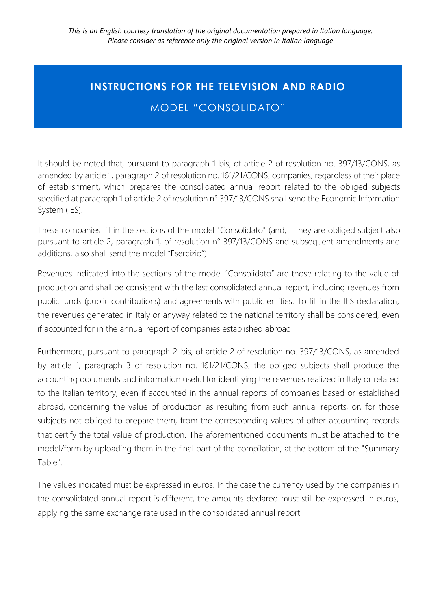## **INSTRUCTIONS FOR THE TELEVISION AND RADIO**

MODEL "CONSOLIDATO"

It should be noted that, pursuant to paragraph 1-bis, of article 2 of resolution no. 397/13/CONS, as amended by article 1, paragraph 2 of resolution no. 161/21/CONS, companies, regardless of their place of establishment, which prepares the consolidated annual report related to the obliged subjects specified at paragraph 1 of article 2 of resolution n° 397/13/CONS shall send the Economic Information System (IES).

These companies fill in the sections of the model "Consolidato" (and, if they are obliged subject also pursuant to article 2, paragraph 1, of resolution n° 397/13/CONS and subsequent amendments and additions, also shall send the model "Esercizio").

Revenues indicated into the sections of the model "Consolidato" are those relating to the value of production and shall be consistent with the last consolidated annual report, including revenues from public funds (public contributions) and agreements with public entities. To fill in the IES declaration, the revenues generated in Italy or anyway related to the national territory shall be considered, even if accounted for in the annual report of companies established abroad.

Furthermore, pursuant to paragraph 2-bis, of article 2 of resolution no. 397/13/CONS, as amended by article 1, paragraph 3 of resolution no. 161/21/CONS, the obliged subjects shall produce the accounting documents and information useful for identifying the revenues realized in Italy or related to the Italian territory, even if accounted in the annual reports of companies based or established abroad, concerning the value of production as resulting from such annual reports, or, for those subjects not obliged to prepare them, from the corresponding values of other accounting records that certify the total value of production. The aforementioned documents must be attached to the model/form by uploading them in the final part of the compilation, at the bottom of the "Summary Table".

The values indicated must be expressed in euros. In the case the currency used by the companies in the consolidated annual report is different, the amounts declared must still be expressed in euros, applying the same exchange rate used in the consolidated annual report.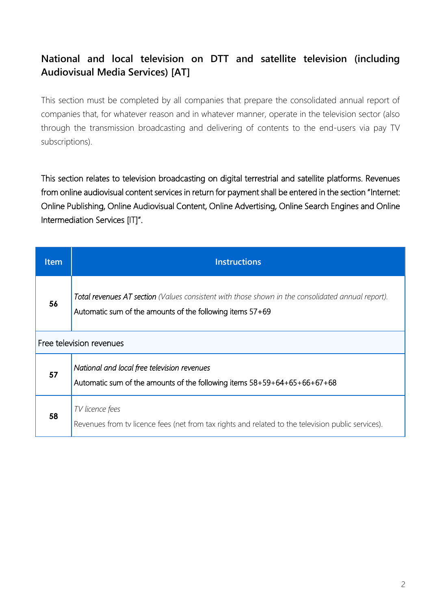## **National and local television on DTT and satellite television (including Audiovisual Media Services) [AT]**

This section must be completed by all companies that prepare the consolidated annual report of companies that, for whatever reason and in whatever manner, operate in the television sector (also through the transmission broadcasting and delivering of contents to the end-users via pay TV subscriptions).

This section relates to television broadcasting on digital terrestrial and satellite platforms. Revenues from online audiovisual content services in return for payment shall be entered in the section "Internet: Online Publishing, Online Audiovisual Content, Online Advertising, Online Search Engines and Online Intermediation Services [IT]".

| <b>Item</b> | <b>Instructions</b>                                                                                                                                            |
|-------------|----------------------------------------------------------------------------------------------------------------------------------------------------------------|
| 56          | Total revenues AT section (Values consistent with those shown in the consolidated annual report).<br>Automatic sum of the amounts of the following items 57+69 |
|             | Free television revenues                                                                                                                                       |
| 57          | National and local free television revenues<br>Automatic sum of the amounts of the following items 58+59+64+65+66+67+68                                        |
| 58          | TV licence fees<br>Revenues from tv licence fees (net from tax rights and related to the television public services).                                          |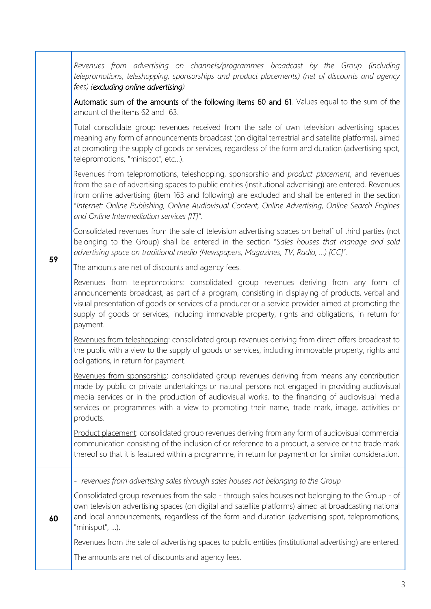*Revenues from advertising on channels/programmes broadcast by the Group (including telepromotions, teleshopping, sponsorships and product placements) (net of discounts and agency fees) (excluding online advertising)*

Automatic sum of the amounts of the following items 60 and 61. Values equal to the sum of the amount of the items 62 and 63.

Total consolidate group revenues received from the sale of own television advertising spaces meaning any form of announcements broadcast (on digital terrestrial and satellite platforms), aimed at promoting the supply of goods or services, regardless of the form and duration (advertising spot, telepromotions, "minispot", etc...).

Revenues from telepromotions, teleshopping, sponsorship and *product placement*, and revenues from the sale of advertising spaces to public entities (institutional advertising) are entered. Revenues from online advertising (item 163 and following) are excluded and shall be entered in the section "*Internet: Online Publishing, Online Audiovisual Content, Online Advertising, Online Search Engines and Online Intermediation services [IT]"*.

Consolidated revenues from the sale of television advertising spaces on behalf of third parties (not belonging to the Group) shall be entered in the section "*Sales houses that manage and sold advertising space on traditional media (Newspapers, Magazines, TV, Radio, ...) [CC]*".

The amounts are net of discounts and agency fees.

**59**

**60**

Revenues from telepromotions: consolidated group revenues deriving from any form of announcements broadcast, as part of a program, consisting in displaying of products, verbal and visual presentation of goods or services of a producer or a service provider aimed at promoting the supply of goods or services, including immovable property, rights and obligations, in return for payment.

Revenues from teleshopping: consolidated group revenues deriving from direct offers broadcast to the public with a view to the supply of goods or services, including immovable property, rights and obligations, in return for payment.

Revenues from sponsorship: consolidated group revenues deriving from means any contribution made by public or private undertakings or natural persons not engaged in providing audiovisual media services or in the production of audiovisual works, to the financing of audiovisual media services or programmes with a view to promoting their name, trade mark, image, activities or products.

Product placement: consolidated group revenues deriving from any form of audiovisual commercial communication consisting of the inclusion of or reference to a product, a service or the trade mark thereof so that it is featured within a programme, in return for payment or for similar consideration.

- *revenues from advertising sales through sales houses not belonging to the Group*

Consolidated group revenues from the sale - through sales houses not belonging to the Group - of own television advertising spaces (on digital and satellite platforms) aimed at broadcasting national and local announcements, regardless of the form and duration (advertising spot, telepromotions, "minispot", …).

Revenues from the sale of advertising spaces to public entities (institutional advertising) are entered.

The amounts are net of discounts and agency fees.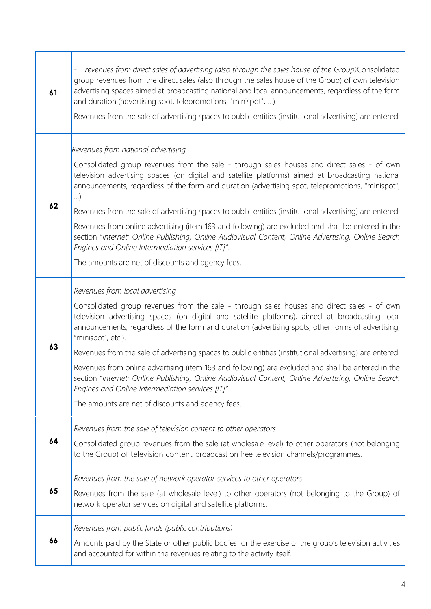| 61 | revenues from direct sales of advertising (also through the sales house of the Group)Consolidated<br>$\frac{1}{2}$<br>group revenues from the direct sales (also through the sales house of the Group) of own television<br>advertising spaces aimed at broadcasting national and local announcements, regardless of the form<br>and duration (advertising spot, telepromotions, "minispot", ).<br>Revenues from the sale of advertising spaces to public entities (institutional advertising) are entered. |
|----|-------------------------------------------------------------------------------------------------------------------------------------------------------------------------------------------------------------------------------------------------------------------------------------------------------------------------------------------------------------------------------------------------------------------------------------------------------------------------------------------------------------|
|    | Revenues from national advertising                                                                                                                                                                                                                                                                                                                                                                                                                                                                          |
|    | Consolidated group revenues from the sale - through sales houses and direct sales - of own<br>television advertising spaces (on digital and satellite platforms) aimed at broadcasting national<br>announcements, regardless of the form and duration (advertising spot, telepromotions, "minispot",<br>$\ldots$ ).                                                                                                                                                                                         |
| 62 | Revenues from the sale of advertising spaces to public entities (institutional advertising) are entered.                                                                                                                                                                                                                                                                                                                                                                                                    |
|    | Revenues from online advertising (item 163 and following) are excluded and shall be entered in the<br>section "Internet: Online Publishing, Online Audiovisual Content, Online Advertising, Online Search<br>Engines and Online Intermediation services [IT]".                                                                                                                                                                                                                                              |
|    | The amounts are net of discounts and agency fees.                                                                                                                                                                                                                                                                                                                                                                                                                                                           |
|    | Revenues from local advertising                                                                                                                                                                                                                                                                                                                                                                                                                                                                             |
|    | Consolidated group revenues from the sale - through sales houses and direct sales - of own<br>television advertising spaces (on digital and satellite platforms), aimed at broadcasting local<br>announcements, regardless of the form and duration (advertising spots, other forms of advertising,<br>"minispot", etc.).                                                                                                                                                                                   |
| 63 | Revenues from the sale of advertising spaces to public entities (institutional advertising) are entered.                                                                                                                                                                                                                                                                                                                                                                                                    |
|    | Revenues from online advertising (item 163 and following) are excluded and shall be entered in the<br>section "Internet: Online Publishing, Online Audiovisual Content, Online Advertising, Online Search<br>Engines and Online Intermediation services [IT]".                                                                                                                                                                                                                                              |
|    | The amounts are net of discounts and agency fees.                                                                                                                                                                                                                                                                                                                                                                                                                                                           |
| 64 | Revenues from the sale of television content to other operators                                                                                                                                                                                                                                                                                                                                                                                                                                             |
|    | Consolidated group revenues from the sale (at wholesale level) to other operators (not belonging<br>to the Group) of television content broadcast on free television channels/programmes.                                                                                                                                                                                                                                                                                                                   |
|    | Revenues from the sale of network operator services to other operators                                                                                                                                                                                                                                                                                                                                                                                                                                      |
| 65 | Revenues from the sale (at wholesale level) to other operators (not belonging to the Group) of<br>network operator services on digital and satellite platforms.                                                                                                                                                                                                                                                                                                                                             |
|    | Revenues from public funds (public contributions)                                                                                                                                                                                                                                                                                                                                                                                                                                                           |
| 66 | Amounts paid by the State or other public bodies for the exercise of the group's television activities<br>and accounted for within the revenues relating to the activity itself.                                                                                                                                                                                                                                                                                                                            |

Τ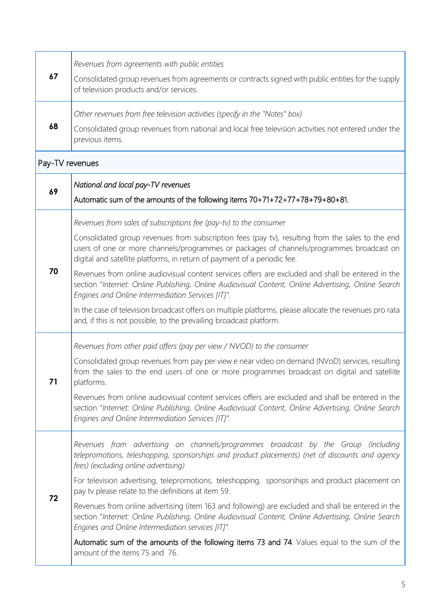| 67              | Revenues from agreements with public entities<br>Consolidated group revenues from agreements or contracts signed with public entities for the supply<br>of television products and/or services.                                                                                                                                                                                                                                                                                                                                                                                                                                                                                                                                                                                                  |  |
|-----------------|--------------------------------------------------------------------------------------------------------------------------------------------------------------------------------------------------------------------------------------------------------------------------------------------------------------------------------------------------------------------------------------------------------------------------------------------------------------------------------------------------------------------------------------------------------------------------------------------------------------------------------------------------------------------------------------------------------------------------------------------------------------------------------------------------|--|
| 68              | Other revenues from free television activities (specify in the "Notes" box)<br>Consolidated group revenues from national and local free television activities not entered under the<br>previous items.                                                                                                                                                                                                                                                                                                                                                                                                                                                                                                                                                                                           |  |
| Pay-TV revenues |                                                                                                                                                                                                                                                                                                                                                                                                                                                                                                                                                                                                                                                                                                                                                                                                  |  |
| 69              | National and local pay-TV revenues<br>Automatic sum of the amounts of the following items 70+71+72+77+78+79+80+81.                                                                                                                                                                                                                                                                                                                                                                                                                                                                                                                                                                                                                                                                               |  |
| 70              | Revenues from sales of subscriptions fee (pay-tv) to the consumer<br>Consolidated group revenues from subscription fees (pay tv), resulting from the sales to the end<br>users of one or more channels/programmes or packages of channels/programmes broadcast on<br>digital and satellite platforms, in return of payment of a periodic fee.<br>Revenues from online audiovisual content services offers are excluded and shall be entered in the<br>section "Internet: Online Publishing, Online Audiovisual Content, Online Advertising, Online Search<br>Engines and Online Intermediation Services [IT]".<br>In the case of television broadcast offers on multiple platforms, please allocate the revenues pro rata<br>and, if this is not possible, to the prevailing broadcast platform. |  |
| 71              | Revenues from other paid offers (pay per view / NVOD) to the consumer<br>Consolidated group revenues from pay per view e near video on demand (NVoD) services, resulting<br>from the sales to the end users of one or more programmes broadcast on digital and satellite<br>platforms.<br>Revenues from online audiovisual content services offers are excluded and shall be entered in the<br>section "Internet: Online Publishing, Online Audiovisual Content, Online Advertising, Online Search<br>Engines and Online Intermediation Services [IT]".                                                                                                                                                                                                                                          |  |
| 72              | Revenues from advertising on channels/programmes broadcast by the Group (including<br>telepromotions, teleshopping, sponsorships and product placements) (net of discounts and agency<br>fees) (excluding online advertising)<br>For television advertising, telepromotions, teleshopping, sponsorships and product placement on<br>pay tv please relate to the definitions at item 59.<br>Revenues from online advertising (item 163 and following) are excluded and shall be entered in the<br>section "Internet: Online Publishing, Online Audiovisual Content, Online Advertising, Online Search<br>Engines and Online Intermediation services [IT]".<br>Automatic sum of the amounts of the following items 73 and 74. Values equal to the sum of the<br>amount of the items 75 and 76.     |  |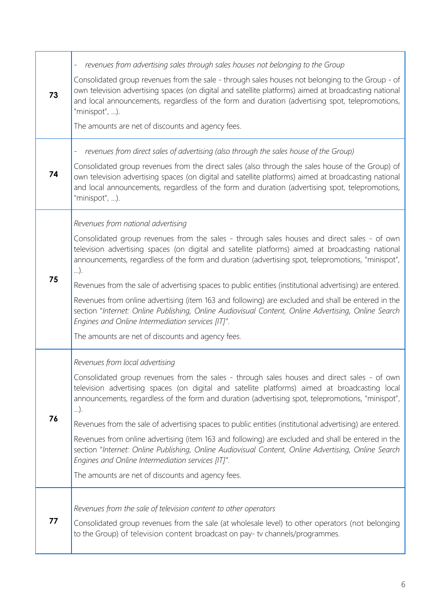| 73 | revenues from advertising sales through sales houses not belonging to the Group<br>$\qquad \qquad -$                                                                                                                                                                                                                           |
|----|--------------------------------------------------------------------------------------------------------------------------------------------------------------------------------------------------------------------------------------------------------------------------------------------------------------------------------|
|    | Consolidated group revenues from the sale - through sales houses not belonging to the Group - of<br>own television advertising spaces (on digital and satellite platforms) aimed at broadcasting national<br>and local announcements, regardless of the form and duration (advertising spot, telepromotions,<br>"minispot", ). |
|    | The amounts are net of discounts and agency fees.                                                                                                                                                                                                                                                                              |
| 74 | revenues from direct sales of advertising (also through the sales house of the Group)<br>$\overline{\phantom{0}}$                                                                                                                                                                                                              |
|    | Consolidated group revenues from the direct sales (also through the sales house of the Group) of<br>own television advertising spaces (on digital and satellite platforms) aimed at broadcasting national<br>and local announcements, regardless of the form and duration (advertising spot, telepromotions,<br>"minispot", ). |
|    | Revenues from national advertising                                                                                                                                                                                                                                                                                             |
|    | Consolidated group revenues from the sales - through sales houses and direct sales - of own<br>television advertising spaces (on digital and satellite platforms) aimed at broadcasting national<br>announcements, regardless of the form and duration (advertising spot, telepromotions, "minispot",<br>$\ldots$ ).           |
| 75 | Revenues from the sale of advertising spaces to public entities (institutional advertising) are entered.                                                                                                                                                                                                                       |
|    | Revenues from online advertising (item 163 and following) are excluded and shall be entered in the<br>section "Internet: Online Publishing, Online Audiovisual Content, Online Advertising, Online Search<br>Engines and Online Intermediation services [IT]".                                                                 |
|    | The amounts are net of discounts and agency fees.                                                                                                                                                                                                                                                                              |
|    | Revenues from local advertising                                                                                                                                                                                                                                                                                                |
|    | Consolidated group revenues from the sales - through sales houses and direct sales - of own<br>television advertising spaces (on digital and satellite platforms) aimed at broadcasting local<br>announcements, regardless of the form and duration (advertising spot, telepromotions, "minispot",<br>$\ldots$ ).              |
| 76 | Revenues from the sale of advertising spaces to public entities (institutional advertising) are entered.                                                                                                                                                                                                                       |
|    | Revenues from online advertising (item 163 and following) are excluded and shall be entered in the<br>section "Internet: Online Publishing, Online Audiovisual Content, Online Advertising, Online Search<br>Engines and Online Intermediation services [IT]".                                                                 |
|    | The amounts are net of discounts and agency fees.                                                                                                                                                                                                                                                                              |
| 77 | Revenues from the sale of television content to other operators                                                                                                                                                                                                                                                                |
|    | Consolidated group revenues from the sale (at wholesale level) to other operators (not belonging<br>to the Group) of television content broadcast on pay-tv channels/programmes.                                                                                                                                               |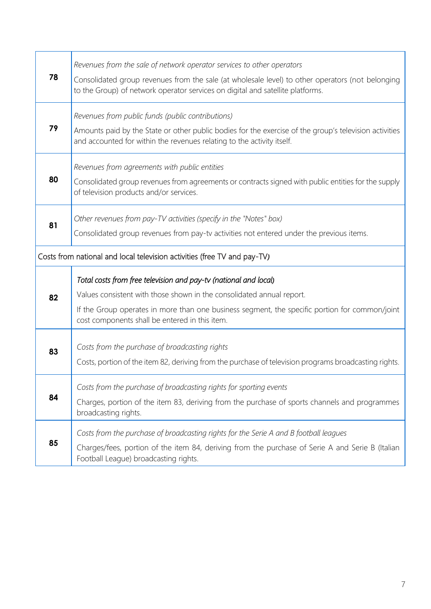| 78                                                                       | Revenues from the sale of network operator services to other operators<br>Consolidated group revenues from the sale (at wholesale level) to other operators (not belonging<br>to the Group) of network operator services on digital and satellite platforms.                                  |
|--------------------------------------------------------------------------|-----------------------------------------------------------------------------------------------------------------------------------------------------------------------------------------------------------------------------------------------------------------------------------------------|
| 79                                                                       | Revenues from public funds (public contributions)<br>Amounts paid by the State or other public bodies for the exercise of the group's television activities<br>and accounted for within the revenues relating to the activity itself.                                                         |
| 80                                                                       | Revenues from agreements with public entities<br>Consolidated group revenues from agreements or contracts signed with public entities for the supply<br>of television products and/or services.                                                                                               |
| 81                                                                       | Other revenues from pay-TV activities (specify in the "Notes" box)<br>Consolidated group revenues from pay-tv activities not entered under the previous items.                                                                                                                                |
| Costs from national and local television activities (free TV and pay-TV) |                                                                                                                                                                                                                                                                                               |
| 82                                                                       | Total costs from free television and pay-tv (national and local)<br>Values consistent with those shown in the consolidated annual report.<br>If the Group operates in more than one business segment, the specific portion for common/joint<br>cost components shall be entered in this item. |
| 83                                                                       | Costs from the purchase of broadcasting rights<br>Costs, portion of the item 82, deriving from the purchase of television programs broadcasting rights.                                                                                                                                       |
| 84                                                                       | Costs from the purchase of broadcasting rights for sporting events<br>Charges, portion of the item 83, deriving from the purchase of sports channels and programmes<br>broadcasting rights.                                                                                                   |
| 85                                                                       | Costs from the purchase of broadcasting rights for the Serie A and B football leagues<br>Charges/fees, portion of the item 84, deriving from the purchase of Serie A and Serie B (Italian<br>Football League) broadcasting rights.                                                            |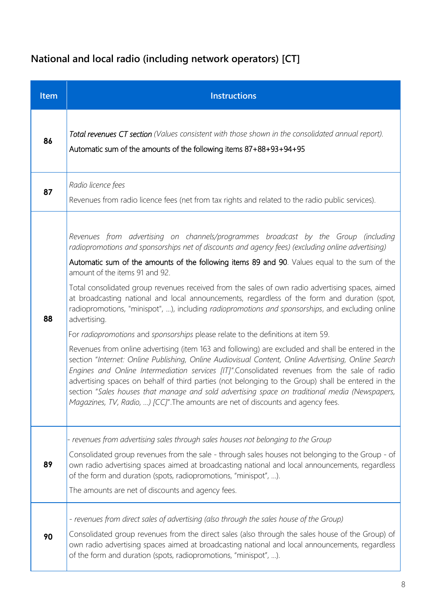## **National and local radio (including network operators) [CT]**

| Item | <b>Instructions</b>                                                                                                                                                                                                                                                                                                                                                                                                                                                                                                                                                                                                                                                                                                                                                                                                                                                                                                                                                                                                                                                                                                                                                                                                                                                                                                                               |
|------|---------------------------------------------------------------------------------------------------------------------------------------------------------------------------------------------------------------------------------------------------------------------------------------------------------------------------------------------------------------------------------------------------------------------------------------------------------------------------------------------------------------------------------------------------------------------------------------------------------------------------------------------------------------------------------------------------------------------------------------------------------------------------------------------------------------------------------------------------------------------------------------------------------------------------------------------------------------------------------------------------------------------------------------------------------------------------------------------------------------------------------------------------------------------------------------------------------------------------------------------------------------------------------------------------------------------------------------------------|
| 86   | Total revenues CT section (Values consistent with those shown in the consolidated annual report).<br>Automatic sum of the amounts of the following items 87+88+93+94+95                                                                                                                                                                                                                                                                                                                                                                                                                                                                                                                                                                                                                                                                                                                                                                                                                                                                                                                                                                                                                                                                                                                                                                           |
| 87   | Radio licence fees<br>Revenues from radio licence fees (net from tax rights and related to the radio public services).                                                                                                                                                                                                                                                                                                                                                                                                                                                                                                                                                                                                                                                                                                                                                                                                                                                                                                                                                                                                                                                                                                                                                                                                                            |
| 88   | Revenues from advertising on channels/programmes broadcast by the Group (including<br>radiopromotions and sponsorships net of discounts and agency fees) (excluding online advertising)<br>Automatic sum of the amounts of the following items 89 and 90. Values equal to the sum of the<br>amount of the items 91 and 92.<br>Total consolidated group revenues received from the sales of own radio advertising spaces, aimed<br>at broadcasting national and local announcements, regardless of the form and duration (spot,<br>radiopromotions, "minispot", ), including radiopromotions and sponsorships, and excluding online<br>advertising.<br>For radiopromotions and sponsorships please relate to the definitions at item 59.<br>Revenues from online advertising (item 163 and following) are excluded and shall be entered in the<br>section "Internet: Online Publishing, Online Audiovisual Content, Online Advertising, Online Search<br>Engines and Online Intermediation services [IT]".Consolidated revenues from the sale of radio<br>advertising spaces on behalf of third parties (not belonging to the Group) shall be entered in the<br>section "Sales houses that manage and sold advertising space on traditional media (Newspapers,<br>Magazines, TV, Radio, ) [CC]". The amounts are net of discounts and agency fees. |
| 89   | - revenues from advertising sales through sales houses not belonging to the Group<br>Consolidated group revenues from the sale - through sales houses not belonging to the Group - of<br>own radio advertising spaces aimed at broadcasting national and local announcements, regardless<br>of the form and duration (spots, radiopromotions, "minispot", ).<br>The amounts are net of discounts and agency fees.                                                                                                                                                                                                                                                                                                                                                                                                                                                                                                                                                                                                                                                                                                                                                                                                                                                                                                                                 |
| 90   | - revenues from direct sales of advertising (also through the sales house of the Group)<br>Consolidated group revenues from the direct sales (also through the sales house of the Group) of<br>own radio advertising spaces aimed at broadcasting national and local announcements, regardless<br>of the form and duration (spots, radiopromotions, "minispot", ).                                                                                                                                                                                                                                                                                                                                                                                                                                                                                                                                                                                                                                                                                                                                                                                                                                                                                                                                                                                |